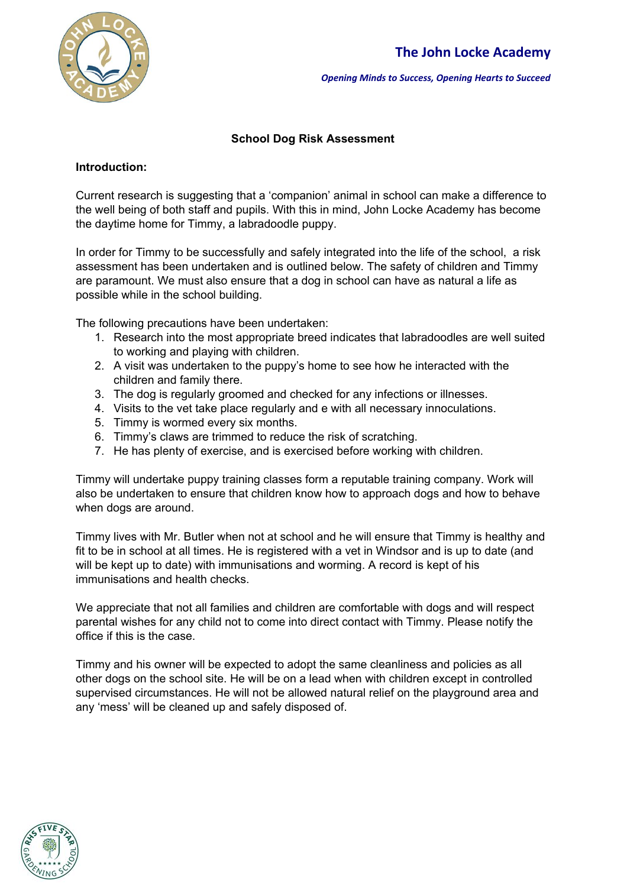

*Opening Minds to Success, Opening Hearts to Succeed*

#### **School Dog Risk Assessment**

#### **Introduction:**

Current research is suggesting that a 'companion' animal in school can make a difference to the well being of both staff and pupils. With this in mind, John Locke Academy has become the daytime home for Timmy, a labradoodle puppy.

In order for Timmy to be successfully and safely integrated into the life of the school, a risk assessment has been undertaken and is outlined below. The safety of children and Timmy are paramount. We must also ensure that a dog in school can have as natural a life as possible while in the school building.

The following precautions have been undertaken:

- 1. Research into the most appropriate breed indicates that labradoodles are well suited to working and playing with children.
- 2. A visit was undertaken to the puppy's home to see how he interacted with the children and family there.
- 3. The dog is regularly groomed and checked for any infections or illnesses.
- 4. Visits to the vet take place regularly and e with all necessary innoculations.
- 5. Timmy is wormed every six months.
- 6. Timmy's claws are trimmed to reduce the risk of scratching.
- 7. He has plenty of exercise, and is exercised before working with children.

Timmy will undertake puppy training classes form a reputable training company. Work will also be undertaken to ensure that children know how to approach dogs and how to behave when dogs are around.

Timmy lives with Mr. Butler when not at school and he will ensure that Timmy is healthy and fit to be in school at all times. He is registered with a vet in Windsor and is up to date (and will be kept up to date) with immunisations and worming. A record is kept of his immunisations and health checks.

We appreciate that not all families and children are comfortable with dogs and will respect parental wishes for any child not to come into direct contact with Timmy. Please notify the office if this is the case.

Timmy and his owner will be expected to adopt the same cleanliness and policies as all other dogs on the school site. He will be on a lead when with children except in controlled supervised circumstances. He will not be allowed natural relief on the playground area and any 'mess' will be cleaned up and safely disposed of.

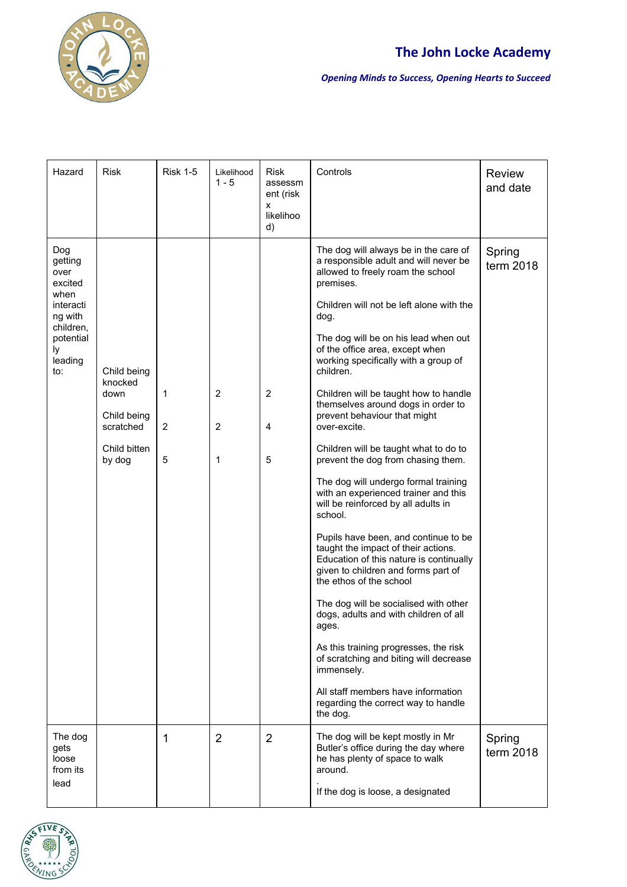

# **The John Locke Academy**

*Opening Minds to Success, Opening Hearts to Succeed*

| Hazard                                                                                                              | <b>Risk</b>                                                                          | <b>Risk 1-5</b>        | Likelihood<br>$1 - 5$                 | <b>Risk</b><br>assessm<br>ent (risk<br>x<br>likelihoo<br>d) | Controls                                                                                                                                                                                                                                                                                                                                                                                                                                                                                                                                                                                                                                                                                                                                                                                                                                                                                                                                                                                                                                                                                                                                              | <b>Review</b><br>and date |
|---------------------------------------------------------------------------------------------------------------------|--------------------------------------------------------------------------------------|------------------------|---------------------------------------|-------------------------------------------------------------|-------------------------------------------------------------------------------------------------------------------------------------------------------------------------------------------------------------------------------------------------------------------------------------------------------------------------------------------------------------------------------------------------------------------------------------------------------------------------------------------------------------------------------------------------------------------------------------------------------------------------------------------------------------------------------------------------------------------------------------------------------------------------------------------------------------------------------------------------------------------------------------------------------------------------------------------------------------------------------------------------------------------------------------------------------------------------------------------------------------------------------------------------------|---------------------------|
| Dog<br>getting<br>over<br>excited<br>when<br>interacti<br>ng with<br>children,<br>potential<br>ly<br>leading<br>to: | Child being<br>knocked<br>down<br>Child being<br>scratched<br>Child bitten<br>by dog | $\mathbf{1}$<br>2<br>5 | $\overline{2}$<br>$\overline{2}$<br>1 | $\overline{2}$<br>4<br>5                                    | The dog will always be in the care of<br>a responsible adult and will never be<br>allowed to freely roam the school<br>premises.<br>Children will not be left alone with the<br>dog.<br>The dog will be on his lead when out<br>of the office area, except when<br>working specifically with a group of<br>children.<br>Children will be taught how to handle<br>themselves around dogs in order to<br>prevent behaviour that might<br>over-excite.<br>Children will be taught what to do to<br>prevent the dog from chasing them.<br>The dog will undergo formal training<br>with an experienced trainer and this<br>will be reinforced by all adults in<br>school.<br>Pupils have been, and continue to be<br>taught the impact of their actions.<br>Education of this nature is continually<br>given to children and forms part of<br>the ethos of the school<br>The dog will be socialised with other<br>dogs, adults and with children of all<br>ages.<br>As this training progresses, the risk<br>of scratching and biting will decrease<br>immensely.<br>All staff members have information<br>regarding the correct way to handle<br>the dog. | Spring<br>term 2018       |
| The dog<br>gets<br>loose<br>from its<br>lead                                                                        |                                                                                      | 1                      | $\overline{2}$                        | $\overline{2}$                                              | The dog will be kept mostly in Mr<br>Butler's office during the day where<br>he has plenty of space to walk<br>around.<br>If the dog is loose, a designated                                                                                                                                                                                                                                                                                                                                                                                                                                                                                                                                                                                                                                                                                                                                                                                                                                                                                                                                                                                           | Spring<br>term 2018       |

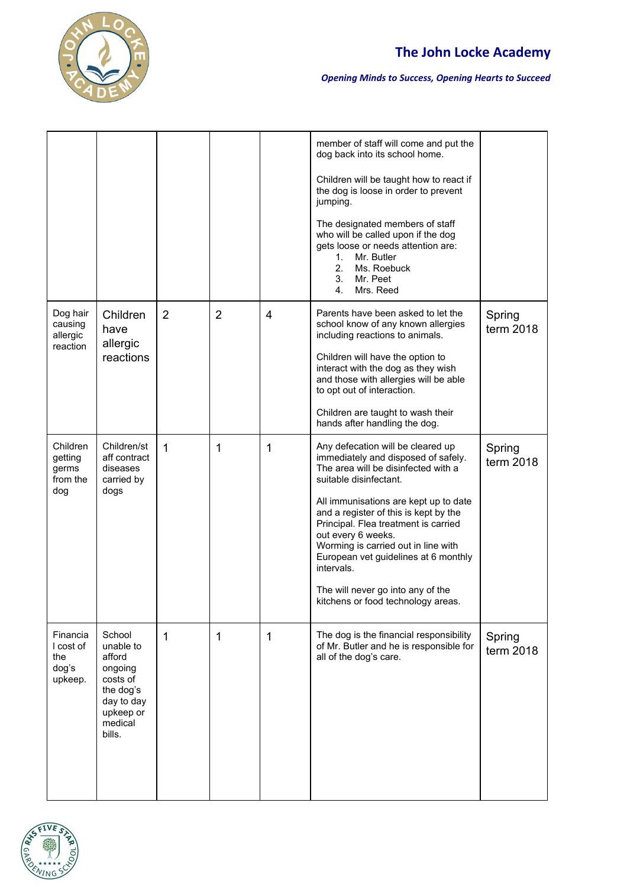

# **The John Locke Academy**

#### *Opening Minds to Success, Opening Hearts to Succeed*

|                                                  |                                                                                                                   |                |                |   | member of staff will come and put the<br>dog back into its school home.<br>Children will be taught how to react if<br>the dog is loose in order to prevent<br>jumping.<br>The designated members of staff<br>who will be called upon if the dog<br>gets loose or needs attention are:<br>Mr. Butler<br>1.<br>2.<br>Ms. Roebuck<br>3.<br>Mr. Peet<br>4.<br>Mrs. Reed                                                                                               |                     |
|--------------------------------------------------|-------------------------------------------------------------------------------------------------------------------|----------------|----------------|---|-------------------------------------------------------------------------------------------------------------------------------------------------------------------------------------------------------------------------------------------------------------------------------------------------------------------------------------------------------------------------------------------------------------------------------------------------------------------|---------------------|
| Dog hair<br>causing<br>allergic<br>reaction      | Children<br>have<br>allergic<br>reactions                                                                         | $\overline{2}$ | $\overline{2}$ | 4 | Parents have been asked to let the<br>school know of any known allergies<br>including reactions to animals.<br>Children will have the option to<br>interact with the dog as they wish<br>and those with allergies will be able<br>to opt out of interaction.<br>Children are taught to wash their<br>hands after handling the dog.                                                                                                                                | Spring<br>term 2018 |
| Children<br>getting<br>germs<br>from the<br>dog  | Children/st<br>aff contract<br>diseases<br>carried by<br>dogs                                                     | $\mathbf{1}$   | 1              | 1 | Any defecation will be cleared up<br>immediately and disposed of safely.<br>The area will be disinfected with a<br>suitable disinfectant.<br>All immunisations are kept up to date<br>and a register of this is kept by the<br>Principal. Flea treatment is carried<br>out every 6 weeks.<br>Worming is carried out in line with<br>European vet guidelines at 6 monthly<br>intervals.<br>The will never go into any of the<br>kitchens or food technology areas. | Spring<br>term 2018 |
| Financia<br>I cost of<br>the<br>dog's<br>upkeep. | School<br>unable to<br>afford<br>ongoing<br>costs of<br>the dog's<br>day to day<br>upkeep or<br>medical<br>bills. | 1              | 1              | 1 | The dog is the financial responsibility<br>of Mr. Butler and he is responsible for<br>all of the dog's care.                                                                                                                                                                                                                                                                                                                                                      | Spring<br>term 2018 |